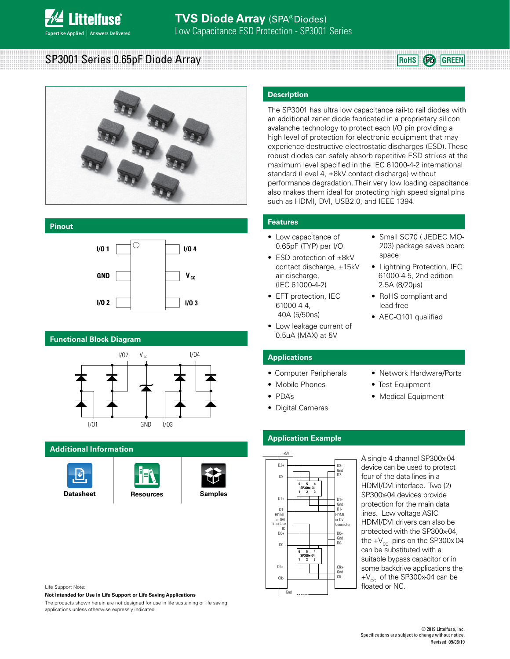

SP3001 Series 0.65pF Diode Array



#### **Pinout**



# **Functional Block Diagram**



# **Additional Information**







#### **Description**

The SP3001 has ultra low capacitance rail-to rail diodes with an additional zener diode fabricated in a proprietary silicon avalanche technology to protect each I/O pin providing a high level of protection for electronic equipment that may experience destructive electrostatic discharges (ESD). These robust diodes can safely absorb repetitive ESD strikes at the maximum level specified in the IEC 61000-4-2 international standard (Level 4, ±8kV contact discharge) without performance degradation. Their very low loading capacitance also makes them ideal for protecting high speed signal pins such as HDMI, DVI, USB2.0, and IEEE 1394.

#### **Features**

- Low capacitance of 0.65pF (TYP) per I/O
- ESD protection of ±8kV contact discharge, ±15kV air discharge, (IEC 61000-4-2)
- EFT protection, IEC 61000-4-4, 40A (5/50ns)
- Low leakage current of 0.5μA (MAX) at 5V
- Small SC70 ( JEDEC MO-203) package saves board space

**RoHS Pb GREEN**

- Lightning Protection, IEC 61000-4-5, 2nd edition 2.5A (8/20µs)
- RoHS compliant and lead-free
- AEC-Q101 qualified

#### **Applications**

- Computer Peripherals
- Mobile Phones
- PDA's
- Digital Cameras
- Network Hardware/Ports
- Test Equipment
- Medical Equipment

# **Application Example**



A single 4 channel SP300x-04 device can be used to protect four of the data lines in a HDMI/DVI interface. Two (2) SP300x-04 devices provide protection for the main data lines. Low voltage ASIC HDMI/DVI drivers can also be protected with the SP300x-04, the  $+V_{cc}$  pins on the SP300x-04 can be substituted with a suitable bypass capacitor or in some backdrive applications the  $+V_{cc}$  of the SP300x-04 can be floated or NC.

Life Support Note:

**Not Intended for Use in Life Support or Life Saving Applications**

The products shown herein are not designed for use in life sustaining or life saving applications unless otherwise expressly indicated.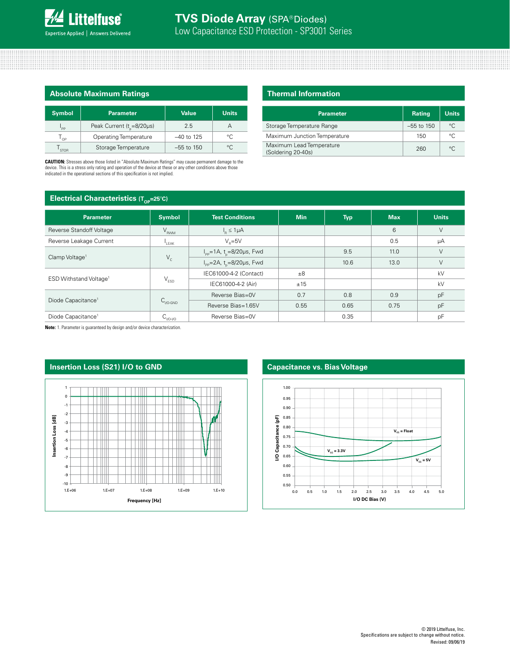| <b>Absolute Maximum Ratings</b> |                                     |              |              |  |  |
|---------------------------------|-------------------------------------|--------------|--------------|--|--|
| <b>Symbol</b>                   | <b>Parameter</b>                    | <b>Value</b> | <b>Units</b> |  |  |
| $\mathsf{I}_{\mathsf{PP}}$      | Peak Current $(t_{0} = 8/20 \mu s)$ | 2.5          | А            |  |  |
| $T_{\text{OP}}$                 | Operating Temperature               | $-40$ to 125 | °C           |  |  |
| STOR                            | Storage Temperature                 | $-55$ to 150 | °C.          |  |  |

**CAUTION:** Stresses above those listed in "Absolute Maximum Ratings" may cause permanent damage to the device. This is a stress only rating and operation of the device at these or any other conditions above those indicated in the operational sections of this specification is not implied.

### **Thermal Information**

| <b>Parameter</b>                               | <b>Rating</b> | <b>Units</b> |
|------------------------------------------------|---------------|--------------|
| Storage Temperature Range                      | $-55$ to 150  | $^{\circ}$ C |
| Maximum Junction Temperature                   | 150           | $\circ$      |
| Maximum Lead Temperature<br>(Soldering 20-40s) | 260           | $^{\circ}$ C |

## **Electrical Characteristics** (Top=25°C)

| ◡                                  |                     |                                                   |            |            |            |              |
|------------------------------------|---------------------|---------------------------------------------------|------------|------------|------------|--------------|
| <b>Parameter</b>                   | <b>Symbol</b>       | <b>Test Conditions</b>                            | <b>Min</b> | <b>Typ</b> | <b>Max</b> | <b>Units</b> |
| Reverse Standoff Voltage           | $V_{RWM}$           | $I_{\rm B} \leq 1 \mu A$                          |            |            | 6          | $\vee$       |
| Reverse Leakage Current            | $L_{\text{EAK}}$    | $V_e = 5V$                                        |            |            | 0.5        | μA           |
| Clamp Voltage <sup>1</sup>         | $V_c$               | $I_{\text{pp}} = 1 \text{A}, t = 8/20 \mu s,$ Fwd |            | 9.5        | 11.0       | $\vee$       |
|                                    |                     | $I_{\rm pp}$ =2A, t <sub>o</sub> =8/20µs, Fwd     |            | 10.6       | 13.0       | $\vee$       |
| ESD Withstand Voltage <sup>1</sup> | $V_{ESD}$           | IEC61000-4-2 (Contact)                            | $\pm 8$    |            |            | kV           |
|                                    |                     | IEC61000-4-2 (Air)                                | ±15        |            |            | kV           |
| Diode Capacitance <sup>1</sup>     | $C_{V0\text{-GND}}$ | Reverse Bias=0V                                   | 0.7        | 0.8        | 0.9        | pF           |
|                                    |                     | Reverse Bias=1.65V                                | 0.55       | 0.65       | 0.75       | pF           |
| Diode Capacitance <sup>1</sup>     | $C_{V0-V0}$         | Reverse Bias=0V                                   |            | 0.35       |            | pF           |

**Note:** 1. Parameter is guaranteed by design and/or device characterization.





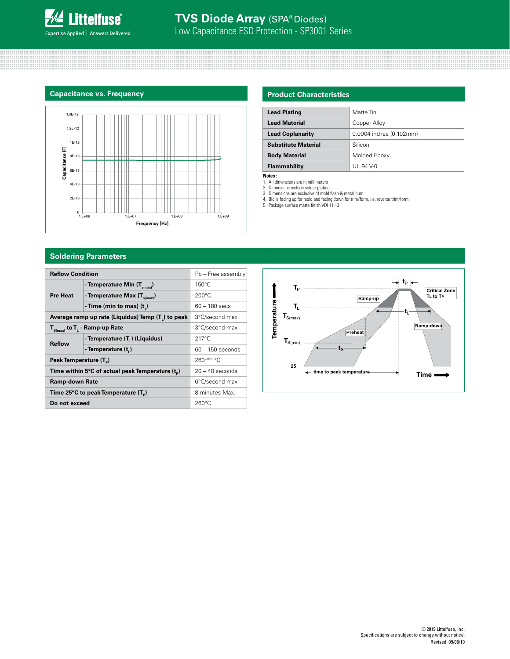

#### **Capacitance vs. Frequency**



# **Product Characteristics**

| <b>Lead Plating</b>        | Matte Tin               |
|----------------------------|-------------------------|
| <b>Lead Material</b>       | Copper Alloy            |
| <b>Lead Coplanarity</b>    | 0.0004 inches (0.102mm) |
| <b>Substitute Material</b> | Silicon                 |
| <b>Body Material</b>       | Molded Epoxy            |
| Flammability               | UL 94 V-0               |

**Notes :** 

1. All dimensions are in millimeters

2. Dimensions include solder plating. 3. Dimensions are exclusive of mold flash & metal burr.

4. Blo is facing up for mold and facing down for trim/form, i.e. reverse trim/form. 5. Package surface matte finish VDI 11-13.

# **Soldering Parameters**

| <b>Reflow Condition</b>                           |                                                                |                    |  |
|---------------------------------------------------|----------------------------------------------------------------|--------------------|--|
|                                                   | Pb - Free assembly                                             |                    |  |
|                                                   | - Temperature Min $(T_{s(min)})$                               | $150^{\circ}$ C    |  |
| <b>Pre Heat</b>                                   | - Temperature Max $(T_{s(max)})$                               | $200^{\circ}$ C    |  |
|                                                   | - Time (min to max) $(t_2)$                                    | $60 - 180$ secs    |  |
|                                                   | Average ramp up rate (Liquidus) Temp (T <sub>1</sub> ) to peak | 3°C/second max     |  |
| $T_{\rm s(max)}$ to $T_{\rm L}$ - Ramp-up Rate    |                                                                | 3°C/second max     |  |
| <b>Reflow</b>                                     | - Temperature $(T_L)$ (Liquidus)                               | $217^{\circ}$ C    |  |
|                                                   | - Temperature (t.)                                             | $60 - 150$ seconds |  |
| Peak Temperature (T <sub>n</sub> )                |                                                                | $260+0/5$ °C       |  |
| Time within 5°C of actual peak Temperature $(tn)$ |                                                                | $20 - 40$ seconds  |  |
| <b>Ramp-down Rate</b>                             |                                                                | 6°C/second max     |  |
| Time 25°C to peak Temperature (T <sub>a</sub> )   |                                                                | 8 minutes Max.     |  |
| Do not exceed                                     |                                                                | $260^{\circ}$ C    |  |